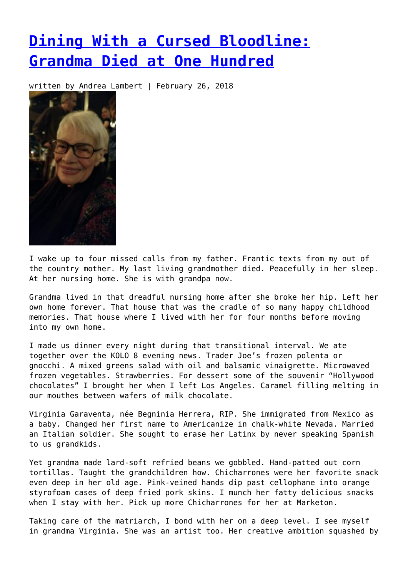## **[Dining With a Cursed Bloodline:](https://entropymag.org/dining-with-a-cursed-bloodline-grandma-died-at-one-hundred/) [Grandma Died at One Hundred](https://entropymag.org/dining-with-a-cursed-bloodline-grandma-died-at-one-hundred/)**

written by Andrea Lambert | February 26, 2018



I wake up to four missed calls from my father. Frantic texts from my out of the country mother. My last living grandmother died. Peacefully in her sleep. At her nursing home. She is with grandpa now.

Grandma lived in that dreadful nursing home after she broke her hip. Left her own home forever. That house that was the cradle of so many happy childhood memories. That house where I lived with her for four months before moving into my own home.

I made us dinner every night during that transitional interval. We ate together over the KOLO 8 evening news. Trader Joe's frozen polenta or gnocchi. A mixed greens salad with oil and balsamic vinaigrette. Microwaved frozen vegetables. Strawberries. For dessert some of the souvenir "Hollywood chocolates" I brought her when I left Los Angeles. Caramel filling melting in our mouthes between wafers of milk chocolate.

Virginia Garaventa, née Begninia Herrera, RIP. She immigrated from Mexico as a baby. Changed her first name to Americanize in chalk-white Nevada. Married an Italian soldier. She sought to erase her Latinx by never speaking Spanish to us grandkids.

Yet grandma made lard-soft refried beans we gobbled. Hand-patted out corn tortillas. Taught the grandchildren how. Chicharrones were her favorite snack even deep in her old age. Pink-veined hands dip past cellophane into orange styrofoam cases of deep fried pork skins. I munch her fatty delicious snacks when I stay with her. Pick up more Chicharrones for her at Marketon.

Taking care of the matriarch, I bond with her on a deep level. I see myself in grandma Virginia. She was an artist too. Her creative ambition squashed by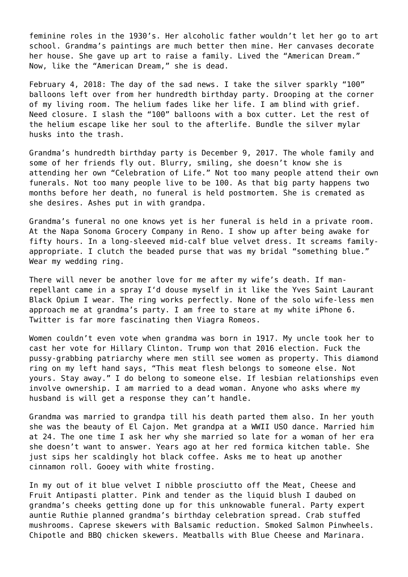feminine roles in the 1930's. Her alcoholic father wouldn't let her go to art school. Grandma's paintings are much better then mine. Her canvases decorate her house. She gave up art to raise a family. Lived the "American Dream." Now, like the "American Dream," she is dead.

February 4, 2018: The day of the sad news. I take the silver sparkly "100" balloons left over from her hundredth birthday party. Drooping at the corner of my living room. The helium fades like her life. I am blind with grief. Need closure. I slash the "100" balloons with a box cutter. Let the rest of the helium escape like her soul to the afterlife. Bundle the silver mylar husks into the trash.

Grandma's hundredth birthday party is December 9, 2017. The whole family and some of her friends fly out. Blurry, smiling, she doesn't know she is attending her own "Celebration of Life." Not too many people attend their own funerals. Not too many people live to be 100. As that big party happens two months before her death, no funeral is held postmortem. She is cremated as she desires. Ashes put in with grandpa.

Grandma's funeral no one knows yet is her funeral is held in a private room. At the Napa Sonoma Grocery Company in Reno. I show up after being awake for fifty hours. In a long-sleeved mid-calf blue velvet dress. It screams familyappropriate. I clutch the beaded purse that was my bridal "something blue." Wear my wedding ring.

There will never be another love for me after my wife's death. If manrepellant came in a spray I'd douse myself in it like the Yves Saint Laurant Black Opium I wear. The ring works perfectly. None of the solo wife-less men approach me at grandma's party. I am free to stare at my white iPhone 6. Twitter is far more fascinating then Viagra Romeos.

Women couldn't even vote when grandma was born in 1917. My uncle took her to cast her vote for Hillary Clinton. Trump won that 2016 election. Fuck the pussy-grabbing patriarchy where men still see women as property. This diamond ring on my left hand says, "This meat flesh belongs to someone else. Not yours. Stay away." I do belong to someone else. If lesbian relationships even involve ownership. I am married to a dead woman. Anyone who asks where my husband is will get a response they can't handle.

Grandma was married to grandpa till his death parted them also. In her youth she was the beauty of El Cajon. Met grandpa at a WWII USO dance. Married him at 24. The one time I ask her why she married so late for a woman of her era she doesn't want to answer. Years ago at her red formica kitchen table. She just sips her scaldingly hot black coffee. Asks me to heat up another cinnamon roll. Gooey with white frosting.

In my out of it blue velvet I nibble prosciutto off the Meat, Cheese and Fruit Antipasti platter. Pink and tender as the liquid blush I daubed on grandma's cheeks getting done up for this unknowable funeral. Party expert auntie Ruthie planned grandma's birthday celebration spread. Crab stuffed mushrooms. Caprese skewers with Balsamic reduction. Smoked Salmon Pinwheels. Chipotle and BBQ chicken skewers. Meatballs with Blue Cheese and Marinara.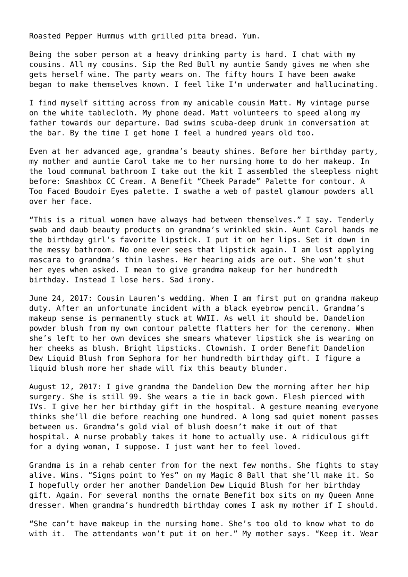Roasted Pepper Hummus with grilled pita bread. Yum.

Being the sober person at a heavy drinking party is hard. I chat with my cousins. All my cousins. Sip the Red Bull my auntie Sandy gives me when she gets herself wine. The party wears on. The fifty hours I have been awake began to make themselves known. I feel like I'm underwater and hallucinating.

I find myself sitting across from my amicable cousin Matt. My vintage purse on the white tablecloth. My phone dead. Matt volunteers to speed along my father towards our departure. Dad swims scuba-deep drunk in conversation at the bar. By the time I get home I feel a hundred years old too.

Even at her advanced age, grandma's beauty shines. Before her birthday party, my mother and auntie Carol take me to her nursing home to do her makeup. In the loud communal bathroom I take out the kit I assembled the sleepless night before: Smashbox CC Cream. A Benefit "Cheek Parade" Palette for contour. A Too Faced Boudoir Eyes palette. I swathe a web of pastel glamour powders all over her face.

"This is a ritual women have always had between themselves." I say. Tenderly swab and daub beauty products on grandma's wrinkled skin. Aunt Carol hands me the birthday girl's favorite lipstick. I put it on her lips. Set it down in the messy bathroom. No one ever sees that lipstick again. I am lost applying mascara to grandma's thin lashes. Her hearing aids are out. She won't shut her eyes when asked. I mean to give grandma makeup for her hundredth birthday. Instead I lose hers. Sad irony.

June 24, 2017: Cousin Lauren's wedding. When I am first put on grandma makeup duty. After an unfortunate incident with a black eyebrow pencil. Grandma's makeup sense is permanently stuck at WWII. As well it should be. Dandelion powder blush from my own contour palette flatters her for the ceremony. When she's left to her own devices she smears whatever lipstick she is wearing on her cheeks as blush. Bright lipsticks. Clownish. I order Benefit Dandelion Dew Liquid Blush from Sephora for her hundredth birthday gift. I figure a liquid blush more her shade will fix this beauty blunder.

August 12, 2017: I give grandma the Dandelion Dew the morning after her hip surgery. She is still 99. She wears a tie in back gown. Flesh pierced with IVs. I give her her birthday gift in the hospital. A gesture meaning everyone thinks she'll die before reaching one hundred. A long sad quiet moment passes between us. Grandma's gold vial of blush doesn't make it out of that hospital. A nurse probably takes it home to actually use. A ridiculous gift for a dying woman, I suppose. I just want her to feel loved.

Grandma is in a rehab center from for the next few months. She fights to stay alive. Wins. "Signs point to Yes" on my Magic 8 Ball that she'll make it. So I hopefully order her another Dandelion Dew Liquid Blush for her birthday gift. Again. For several months the ornate Benefit box sits on my Queen Anne dresser. When grandma's hundredth birthday comes I ask my mother if I should.

"She can't have makeup in the nursing home. She's too old to know what to do with it. The attendants won't put it on her." My mother says. "Keep it. Wear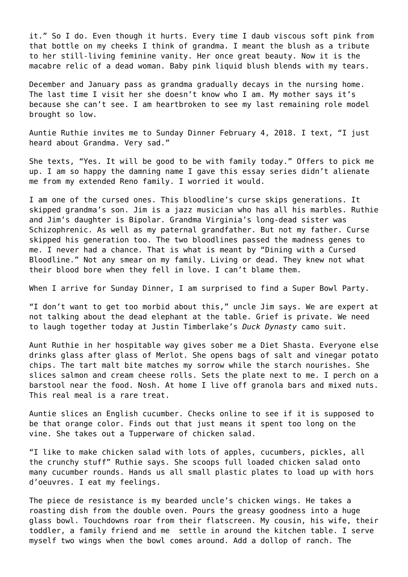it." So I do. Even though it hurts. Every time I daub viscous soft pink from that bottle on my cheeks I think of grandma. I meant the blush as a tribute to her still-living feminine vanity. Her once great beauty. Now it is the macabre relic of a dead woman. Baby pink liquid blush blends with my tears.

December and January pass as grandma gradually decays in the nursing home. The last time I visit her she doesn't know who I am. My mother says it's because she can't see. I am heartbroken to see my last remaining role model brought so low.

Auntie Ruthie invites me to Sunday Dinner February 4, 2018. I text, "I just heard about Grandma. Very sad."

She texts, "Yes. It will be good to be with family today." Offers to pick me up. I am so happy the damning name I gave this essay series didn't alienate me from my extended Reno family. I worried it would.

I am one of the cursed ones. This bloodline's curse skips generations. It skipped grandma's son. Jim is a jazz musician who has all his marbles. Ruthie and Jim's daughter is Bipolar. Grandma Virginia's long-dead sister was Schizophrenic. As well as my paternal grandfather. But not my father. Curse skipped his generation too. The two bloodlines passed the madness genes to me. I never had a chance. That is what is meant by "Dining with a Cursed Bloodline." Not any smear on my family. Living or dead. They knew not what their blood bore when they fell in love. I can't blame them.

When I arrive for Sunday Dinner, I am surprised to find a Super Bowl Party.

"I don't want to get too morbid about this," uncle Jim says. We are expert at not talking about the dead elephant at the table. Grief is private. We need to laugh together today at Justin Timberlake's *Duck Dynasty* camo suit.

Aunt Ruthie in her hospitable way gives sober me a Diet Shasta. Everyone else drinks glass after glass of Merlot. She opens bags of salt and vinegar potato chips. The tart malt bite matches my sorrow while the starch nourishes. She slices salmon and cream cheese rolls. Sets the plate next to me. I perch on a barstool near the food. Nosh. At home I live off granola bars and mixed nuts. This real meal is a rare treat.

Auntie slices an English cucumber. Checks online to see if it is supposed to be that orange color. Finds out that just means it spent too long on the vine. She takes out a Tupperware of chicken salad.

"I like to make chicken salad with lots of apples, cucumbers, pickles, all the crunchy stuff" Ruthie says. She scoops full loaded chicken salad onto many cucumber rounds. Hands us all small plastic plates to load up with hors d'oeuvres. I eat my feelings.

The piece de resistance is my bearded uncle's chicken wings. He takes a roasting dish from the double oven. Pours the greasy goodness into a huge glass bowl. Touchdowns roar from their flatscreen. My cousin, his wife, their toddler, a family friend and me settle in around the kitchen table. I serve myself two wings when the bowl comes around. Add a dollop of ranch. The